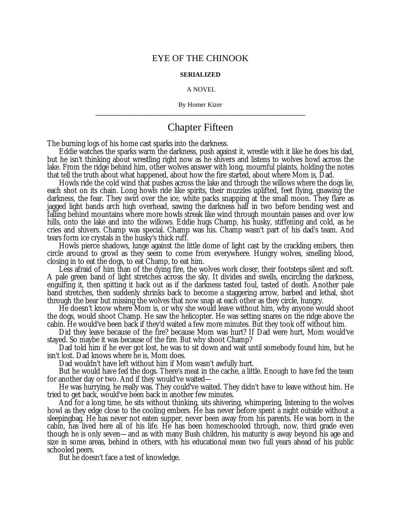## EYE OF THE CHINOOK

## **SERIALIZED**

## A NOVEL

By Homer Kizer **\_\_\_\_\_\_\_\_\_\_\_\_\_\_\_\_\_\_\_\_\_\_\_\_\_\_\_\_\_\_\_\_\_\_\_\_\_\_\_\_\_\_\_\_\_\_\_\_\_\_\_\_\_\_\_\_\_\_\_\_\_\_\_\_**

## Chapter Fifteen

The burning logs of his home cast sparks into the darkness.

Eddie watches the sparks warm the darkness, push against it, wrestle with it like he does his dad, but he isn't thinking about wrestling right now as he shivers and listens to wolves howl across the lake. From the ridge behind him, other wolves answer with long, mournful plaints, holding the notes that tell the truth about what happened, about how the fire started, about where Mom is, Dad.

Howls ride the cold wind that pushes across the lake and through the willows where the dogs lie, each shot on its chain. Long howls ride like spirits, their muzzles uplifted, feet flying, gnawing the darkness, the fear. They swirl over the ice, white packs snapping at the small moon. They flare as jagged light bands arch high overhead, sawing the darkness half in two before bending west and falling behind mountains where more howls streak like wind through mountain passes and over low hills, onto the lake and into the willows. Eddie hugs Champ, his husky, stiffening and cold, as he cries and shivers. Champ was special. Champ was his. Champ wasn't part of his dad's team. And tears form ice crystals in the husky's thick ruff.

Howls pierce shadows, lunge against the little dome of light cast by the crackling embers, then circle around to growl as they seem to come from everywhere. Hungry wolves, smelling blood, closing in to eat the dogs, to eat Champ, to eat him.

Less afraid of him than of the dying fire, the wolves work closer, their footsteps silent and soft. A pale green band of light stretches across the sky. It divides and swells, encircling the darkness, engulfing it, then spitting it back out as if the darkness tasted foul, tasted of death. Another pale band stretches, then suddenly shrinks back to become a staggering arrow, barbed and lethal, shot through the bear but missing the wolves that now snap at each other as they circle, hungry.

He doesn't know where Mom is, or why she would leave without him, why anyone would shoot the dogs, would shoot Champ. He saw the helicopter. He was setting snares on the ridge above the cabin. He would've been back if they'd waited a few more minutes. But they took off without him.

Did they leave because of the fire? because Mom was hurt? If Dad were hurt, Mom would've stayed. So maybe it was because of the fire. But why shoot Champ?

Dad told him if he ever got lost, he was to sit down and wait until somebody found him, but he isn't lost. Dad knows where he is, Mom does.

Dad wouldn't have left without him if Mom wasn't awfully hurt.

But he would have fed the dogs. There's meat in the cache, a little. Enough to have fed the team for another day or two. And if they would've waited—

He was hurrying, he really was. They could've waited. They didn't have to leave without him. He tried to get back, would've been back in another few minutes.

And for a long time, he sits without thinking, sits shivering, whimpering, listening to the wolves howl as they edge close to the cooling embers. He has never before spent a night outside without a sleepingbag. He has never not eaten supper, never been away from his parents. He was born in the cabin, has lived here all of his life. He has been homeschooled through, now, third grade even though he is only seven— and as with many Bush children, his maturity is away beyond his age and size in some areas, behind in others, with his educational mean two full years ahead of his public schooled peers.

But he doesn't face a test of knowledge.